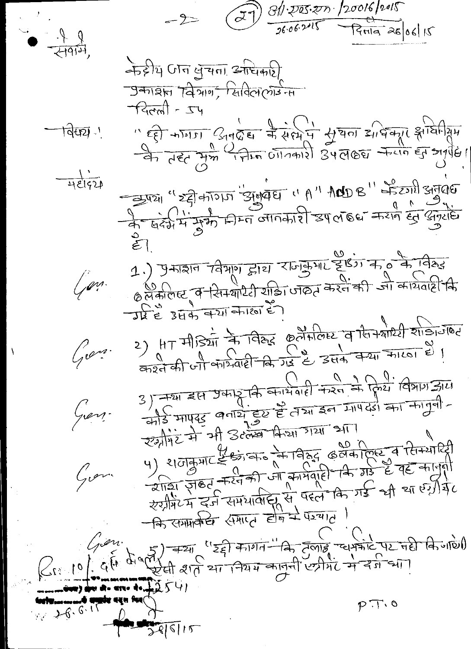$\overline{\lambda}$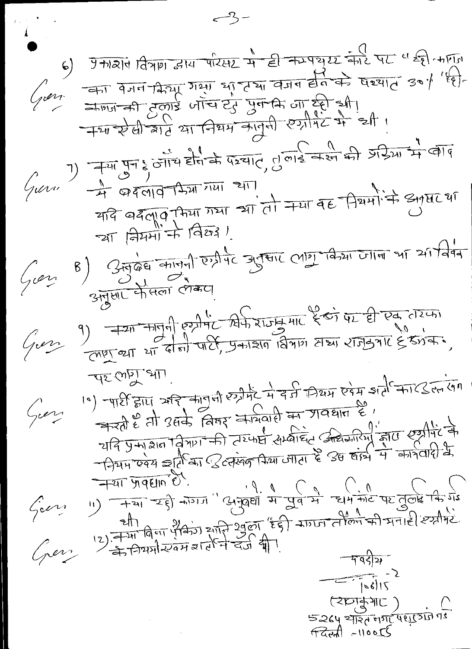$-3-$ 6) ग्रेगोरोपे विषया द्वारा परिसर में ही कमपुष्य की पर " ही कार्ण  $\sqrt{mn}$  and the signal of  $\frac{1}{2}$  and  $\frac{1}{2}$  and  $\frac{1}{2}$  and  $\frac{1}{2}$  and  $\frac{1}{2}$ 720 20 6 21 6 21 6 21 9 9 9 9 9 9 9 9 2 2 2 1 7)  $\frac{1}{\sqrt{4}}$   $\frac{1}{\sqrt{4}}$   $\frac{1}{\sqrt{4}}$   $\frac{1}{\sqrt{4}}$   $\frac{1}{\sqrt{4}}$   $\frac{1}{\sqrt{4}}$   $\frac{1}{\sqrt{4}}$   $\frac{1}{\sqrt{4}}$   $\frac{1}{\sqrt{4}}$   $\frac{1}{\sqrt{4}}$   $\frac{1}{\sqrt{4}}$   $\frac{1}{\sqrt{4}}$   $\frac{1}{\sqrt{4}}$   $\frac{1}{\sqrt{4}}$   $\frac{1}{\sqrt{4}}$   $\frac{1}{\sqrt{4}}$   $\frac{1}{\sqrt{4$  $\frac{1}{217}$   $\frac{1}{97}$   $\frac{1}{17}$   $\frac{1}{17}$   $\frac{1}{17}$   $\frac{1}{17}$   $\frac{1}{17}$   $\frac{1}{17}$   $\frac{1}{17}$   $\frac{1}{17}$   $\frac{1}{17}$   $\frac{1}{17}$   $\frac{1}{17}$   $\frac{1}{17}$   $\frac{1}{17}$   $\frac{1}{17}$   $\frac{1}{17}$   $\frac{1}{17}$   $\frac{1}{17}$   $\frac{1}{17}$  Gurri Gon Gun  $\frac{1}{3}$  - 412 FILI 212 71941 02342 4 77 1724 094 side TILS on 41 The CupT SIL. George यदि प्रमाराज्ञान विषया की तरफर्प सम्बाद अरुवारम होता एसीमेंट के  $\frac{1}{\sqrt{1+21}}$   $\frac{1}{\sqrt{6}}$   $\frac{1}{\sqrt{10}}$   $\frac{1}{\sqrt{10}}$   $\frac{1}{\sqrt{10}}$   $\frac{1}{\sqrt{10}}$   $\frac{1}{\sqrt{10}}$   $\frac{1}{\sqrt{10}}$   $\frac{1}{\sqrt{10}}$   $\frac{1}{\sqrt{10}}$   $\frac{1}{\sqrt{10}}$   $\frac{1}{\sqrt{10}}$   $\frac{1}{\sqrt{10}}$   $\frac{1}{\sqrt{10}}$   $\frac{1}{\sqrt{10}}$   $\frac{1}{\sqrt{1$ Georg  $\frac{2}{12}$  =  $\frac{2}{12}$  =  $\frac{1}{12}$  =  $\frac{1}{12}$  =  $\frac{1}{12}$  =  $\frac{1}{12}$  =  $\frac{1}{12}$  =  $\frac{1}{12}$  =  $\frac{1}{12}$  =  $\frac{1}{12}$  =  $\frac{1}{12}$  =  $\frac{1}{12}$  =  $\frac{1}{12}$  =  $\frac{1}{12}$  =  $\frac{1}{12}$  =  $\frac{1}{12}$  =  $\frac{1}{12}$  = Ger  $-7957$  $\frac{1}{\sqrt{100}}$  $(2D)$  $5264$   $\frac{0}{7136}$   $\frac{1}{491}$   $\frac{1}{491}$   $\frac{1}{491}$  $\pi$